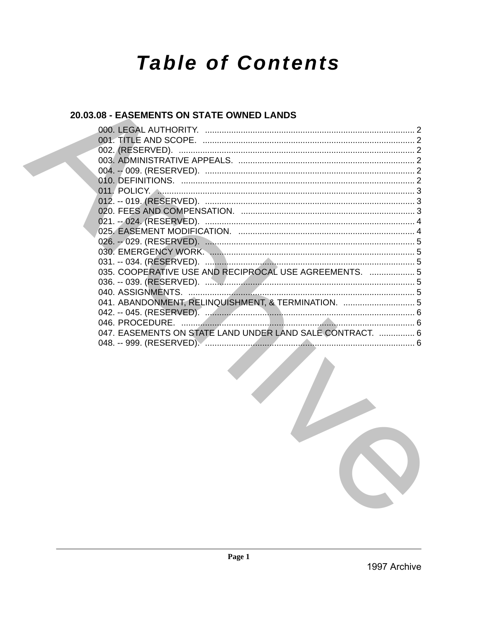# **Table of Contents**

# 20.03.08 - EASEMENTS ON STATE OWNED LANDS

| 035. COOPERATIVE USE AND RECIPROCAL USE AGREEMENTS.  5    |  |
|-----------------------------------------------------------|--|
|                                                           |  |
| 040. ASSIGNMENTS.                                         |  |
| 041. ABANDONMENT, RELINQUISHMENT, & TERMINATION.  5       |  |
|                                                           |  |
|                                                           |  |
| 047. EASEMENTS ON STATE LAND UNDER LAND SALE CONTRACT.  6 |  |
|                                                           |  |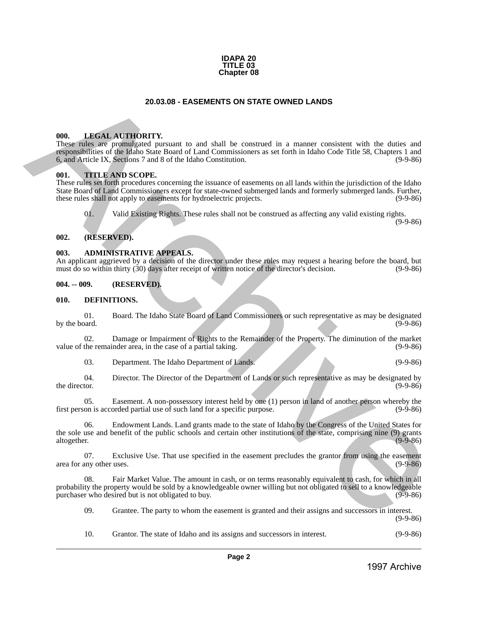

# **20.03.08 - EASEMENTS ON STATE OWNED LANDS**

#### <span id="page-1-1"></span>**000. LEGAL AUTHORITY.**

These rules are promulgated pursuant to and shall be construed in a manner consistent with the duties and responsibilities of the Idaho State Board of Land Commissioners as set forth in Idaho Code Title 58, Chapters 1 and 6, and Article IX, Sections 7 and 8 of the Idaho Constitution. (9-9-86)

#### <span id="page-1-2"></span>**001. TITLE AND SCOPE.**

<span id="page-1-0"></span>These rules set forth procedures concerning the issuance of easements on all lands within the jurisdiction of the Idaho State Board of Land Commissioners except for state-owned submerged lands and formerly submerged lands. Further, these rules shall not apply to easements for hydroelectric projects. (9-9-86) **20.03.03 EASEMENTS ON STATE OWNED LANDS<br>
1998.** LHKSKE, ATTICORTY,<br>
These takes are promoted in a summar consistent with de shows and the properties of the states are promoted in a summar consistent with the delivery of

01. Valid Existing Rights. These rules shall not be construed as affecting any valid existing rights.

(9-9-86)

#### <span id="page-1-3"></span>**002. (RESERVED).**

#### <span id="page-1-4"></span>**003. ADMINISTRATIVE APPEALS.**

An applicant aggrieved by a decision of the director under these rules may request a hearing before the board, but must do so within thirty (30) days after receipt of written notice of the director's decision. (9-9-86) must do so within thirty (30) days after receipt of written notice of the director's decision.

#### <span id="page-1-5"></span>**004. -- 009. (RESERVED).**

#### <span id="page-1-6"></span>**010. DEFINITIONS.**

01. Board. The Idaho State Board of Land Commissioners or such representative as may be designated<br>(9-9-86) by the board.  $(9-9-86)$ 

02. Damage or Impairment of Rights to the Remainder of the Property. The diminution of the market the remainder area, in the case of a partial taking. (9-9-86) value of the remainder area, in the case of a partial taking.

03. Department. The Idaho Department of Lands. (9-9-86)

04. Director. The Director of the Department of Lands or such representative as may be designated by the director. (9-9-86) the director. (9-9-86)

05. Easement. A non-possessory interest held by one (1) person in land of another person whereby the first person is accorded partial use of such land for a specific purpose. (9-9-86)

06. Endowment Lands. Land grants made to the state of Idaho by the Congress of the United States for the sole use and benefit of the public schools and certain other institutions of the state, comprising nine (9) grants altogether. (9-9-86)

07. Exclusive Use. That use specified in the easement precludes the grantor from using the easement provider uses. area for any other uses.

08. Fair Market Value. The amount in cash, or on terms reasonably equivalent to cash, for which in all probability the property would be sold by a knowledgeable owner willing but not obligated to sell to a knowledgeable<br>(9-9-86) purchaser who desired but is not obligated to buy.

09. Grantee. The party to whom the easement is granted and their assigns and successors in interest.

(9-9-86)

10. Grantor. The state of Idaho and its assigns and successors in interest. (9-9-86)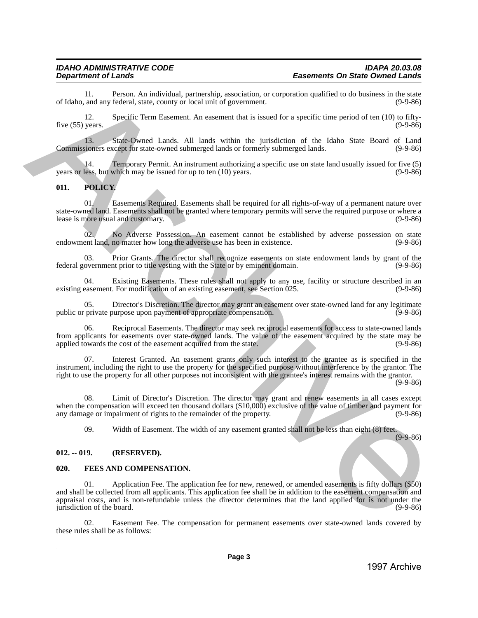11. Person. An individual, partnership, association, or corporation qualified to do business in the state of Idaho, and any federal, state, county or local unit of government.

12. Specific Term Easement. An easement that is issued for a specific time period of ten (10) to fiftyfive  $(55)$  years. (9-9-86)

13. State-Owned Lands. All lands within the jurisdiction of the Idaho State Board of Land Commissioners except for state-owned submerged lands or formerly submerged lands. (9-9-86)

14. Temporary Permit. An instrument authorizing a specific use on state land usually issued for five (5) years or less, but which may be issued for up to ten  $(10)$  years.

## <span id="page-2-0"></span>**011. POLICY.**

01. Easements Required. Easements shall be required for all rights-of-way of a permanent nature over state-owned land. Easements shall not be granted where temporary permits will serve the required purpose or where a<br>lease is more usual and customary. (9-9-86) lease is more usual and customary.

02. No Adverse Possession. An easement cannot be established by adverse possession on state ent land, no matter how long the adverse use has been in existence. (9-9-86) endowment land, no matter how long the adverse use has been in existence.

03. Prior Grants. The director shall recognize easements on state endowment lands by grant of the overnment prior to title vesting with the State or by eminent domain. (9-9-86) federal government prior to title vesting with the State or by eminent domain.

04. Existing Easements. These rules shall not apply to any use, facility or structure described in an easement. For modification of an existing easement, see Section 025. existing easement. For modification of an existing easement, see Section  $0.025$ .

05. Director's Discretion. The director may grant an easement over state-owned land for any legitimate private purpose upon payment of appropriate compensation. (9-9-86) public or private purpose upon payment of appropriate compensation.

Reciprocal Easements. The director may seek reciprocal easements for access to state-owned lands from applicants for easements over state-owned lands. The value of the easement acquired by the state may be applied towards the cost of the easement acquired from the state. (9-9-86) applied towards the cost of the easement acquired from the state.

07. Interest Granted. An easement grants only such interest to the grantee as is specified in the instrument, including the right to use the property for the specified purpose without interference by the grantor. The right to use the property for all other purposes not inconsistent with the grantee's interest remains with the grantor.  $(9-9-86)$ 

08. Limit of Director's Discretion. The director may grant and renew easements in all cases except when the compensation will exceed ten thousand dollars (\$10,000) exclusive of the value of timber and payment for any damage or impairment of rights to the remainder of the property. (9-9-86) any damage or impairment of rights to the remainder of the property.

09. Width of Easement. The width of any easement granted shall not be less than eight (8) feet.

(9-9-86)

#### <span id="page-2-1"></span>**012. -- 019. (RESERVED).**

#### <span id="page-2-2"></span>**020. FEES AND COMPENSATION.**

01. Application Fee. The application fee for new, renewed, or amended easements is fifty dollars (\$50) and shall be collected from all applicants. This application fee shall be in addition to the easement compensation and appraisal costs, and is non-refundable unless the director determines that the land applied for is not under the jurisdiction of the board.  $(9-9-86)$ of Islam, and my Departure Archive Archive Constitute at the properties of the state of the state of the state of the state of the state of the state of the state of the state of the state of the state of the state of the

02. Easement Fee. The compensation for permanent easements over state-owned lands covered by these rules shall be as follows: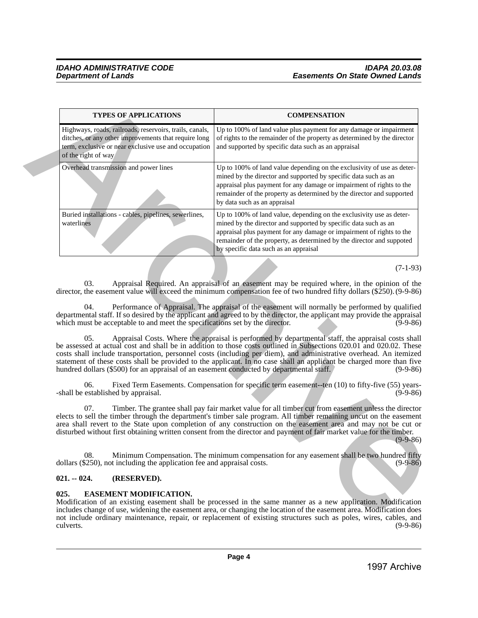| <b>TYPES OF APPLICATIONS</b>                                                                                                                                                                   | <b>COMPENSATION</b>                                                                                                                                                                                                                                                                                                                                                                                                                                                                                                                                                                                                                                                                                                                 |
|------------------------------------------------------------------------------------------------------------------------------------------------------------------------------------------------|-------------------------------------------------------------------------------------------------------------------------------------------------------------------------------------------------------------------------------------------------------------------------------------------------------------------------------------------------------------------------------------------------------------------------------------------------------------------------------------------------------------------------------------------------------------------------------------------------------------------------------------------------------------------------------------------------------------------------------------|
| Highways, roads, railroads, reservoirs, trails, canals,<br>ditches, or any other improvements that require long<br>term, exclusive or near exclusive use and occupation<br>of the right of way | Up to 100% of land value plus payment for any damage or impairment<br>of rights to the remainder of the property as determined by the director<br>and supported by specific data such as an appraisal                                                                                                                                                                                                                                                                                                                                                                                                                                                                                                                               |
| Overhead transmission and power lines                                                                                                                                                          | Up to 100% of land value depending on the exclusivity of use as deter-<br>mined by the director and supported by specific data such as an<br>appraisal plus payment for any damage or impairment of rights to the<br>remainder of the property as determined by the director and supported<br>by data such as an appraisal                                                                                                                                                                                                                                                                                                                                                                                                          |
| Buried installations - cables, pipelines, sewerlines,<br>waterlines                                                                                                                            | Up to 100% of land value, depending on the exclusivity use as deter-<br>mined by the director and supported by specific data such as an<br>appraisal plus payment for any damage or impairment of rights to the<br>remainder of the property, as determined by the director and suppoted<br>by specific data such as an appraisal                                                                                                                                                                                                                                                                                                                                                                                                   |
|                                                                                                                                                                                                | $(7-1-93)$                                                                                                                                                                                                                                                                                                                                                                                                                                                                                                                                                                                                                                                                                                                          |
| 04.<br>which must be acceptable to and meet the specifications set by the director.<br>05.<br>hundred dollars (\$500) for an appraisal of an easement conducted by departmental staff.         | Performance of Appraisal. The appraisal of the easement will normally be performed by qualified<br>departmental staff. If so desired by the applicant and agreed to by the director, the applicant may provide the appraisal<br>$(9-9-86)$<br>Appraisal Costs. Where the appraisal is performed by departmental staff, the appraisal costs shall<br>be assessed at actual cost and shall be in addition to those costs outlined in Subsections 020.01 and 020.02. These<br>costs shall include transportation, personnel costs (including per diem), and administrative overhead. An itemized<br>statement of these costs shall be provided to the applicant. In no case shall an applicant be charged more than five<br>$(9-9-86)$ |
| 06.<br>-shall be established by appraisal.                                                                                                                                                     | Fixed Term Easements. Compensation for specific term easement--ten (10) to fifty-five (55) years-<br>$(9-9-86)$                                                                                                                                                                                                                                                                                                                                                                                                                                                                                                                                                                                                                     |
| 07.                                                                                                                                                                                            | Timber. The grantee shall pay fair market value for all timber cut from easement unless the director<br>elects to sell the timber through the department's timber sale program. All timber remaining uncut on the easement<br>area shall revert to the State upon completion of any construction on the easement area and may not be cut or<br>disturbed without first obtaining written consent from the director and payment of fair market value for the timber.<br>$(9-9-86)$                                                                                                                                                                                                                                                   |
| 08.<br>dollars (\$250), not including the application fee and appraisal costs.                                                                                                                 | Minimum Compensation. The minimum compensation for any easement shall be two hundred fifty<br>$(9-9-86)$                                                                                                                                                                                                                                                                                                                                                                                                                                                                                                                                                                                                                            |
| $021. - 024.$<br>(RESERVED).                                                                                                                                                                   |                                                                                                                                                                                                                                                                                                                                                                                                                                                                                                                                                                                                                                                                                                                                     |
| 025.<br><b>EASEMENT MODIFICATION.</b>                                                                                                                                                          | Modification of an existing easement shall be processed in the same manner as a new application. Modification<br>includes change of use, widening the easement area, or changing the location of the easement area. Modification does<br>not include ordinary maintenance, repair, or replacement of existing structures such as poles, wires, cables, and<br>$(9-9-86)$                                                                                                                                                                                                                                                                                                                                                            |
| culverts.                                                                                                                                                                                      |                                                                                                                                                                                                                                                                                                                                                                                                                                                                                                                                                                                                                                                                                                                                     |
|                                                                                                                                                                                                |                                                                                                                                                                                                                                                                                                                                                                                                                                                                                                                                                                                                                                                                                                                                     |

# <span id="page-3-0"></span>**021. -- 024. (RESERVED).**

# <span id="page-3-1"></span>**025. EASEMENT MODIFICATION.**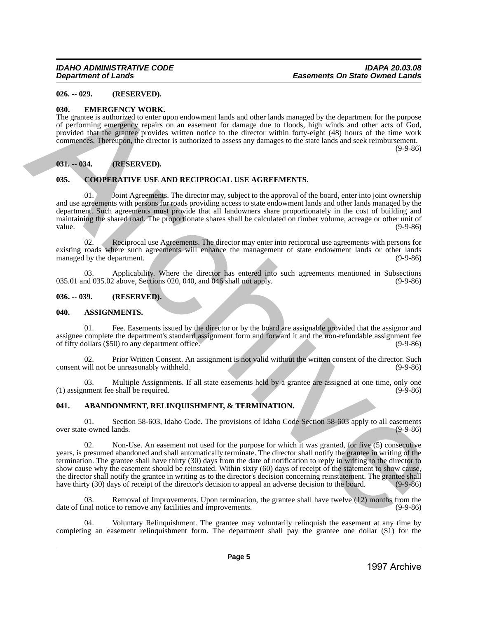# <span id="page-4-0"></span>**026. -- 029. (RESERVED).**

## <span id="page-4-1"></span>**030. EMERGENCY WORK.**

The grantee is authorized to enter upon endowment lands and other lands managed by the department for the purpose of performing emergency repairs on an easement for damage due to floods, high winds and other acts of God, provided that the grantee provides written notice to the director within forty-eight (48) hours of the time work commences. Thereupon, the director is authorized to assess any damages to the state lands and seek reimbursement.

 $(9-9-86)$ 

# <span id="page-4-2"></span>**031. -- 034. (RESERVED).**

# <span id="page-4-3"></span>**035. COOPERATIVE USE AND RECIPROCAL USE AGREEMENTS.**

Joint Agreements. The director may, subject to the approval of the board, enter into joint ownership and use agreements with persons for roads providing access to state endowment lands and other lands managed by the department. Such agreements must provide that all landowners share proportionately in the cost of building and maintaining the shared road. The proportionate shares shall be calculated on timber volume, acreage or other unit of value. value. (9-9-86)

02. Reciprocal use Agreements. The director may enter into reciprocal use agreements with persons for existing roads where such agreements will enhance the management of state endowment lands or other lands<br>managed by the department. (9-9-86) managed by the department.

03. Applicability. Where the director has entered into such agreements mentioned in Subsections 035.01 and 035.02 above, Sections 020, 040, and 046 shall not apply. (9-9-86)

#### <span id="page-4-4"></span>**036. -- 039. (RESERVED).**

#### <span id="page-4-5"></span>**040. ASSIGNMENTS.**

01. Fee. Easements issued by the director or by the board are assignable provided that the assignor and assignee complete the department's standard assignment form and forward it and the non-refundable assignment fee<br>of fifty dollars (\$50) to any department office. (9-9-86) of fifty dollars  $(\$50)$  to any department office.

02. Prior Written Consent. An assignment is not valid without the written consent of the director. Such will not be unreasonably withheld. (9-9-86) consent will not be unreasonably withheld.

03. Multiple Assignments. If all state easements held by a grantee are assigned at one time, only one  $(1)$  assignment fee shall be required.

# <span id="page-4-6"></span>**041. ABANDONMENT, RELINQUISHMENT, & TERMINATION.**

01. Section 58-603, Idaho Code. The provisions of Idaho Code Section 58-603 apply to all easements over state-owned lands.

02. Non-Use. An easement not used for the purpose for which it was granted, for five (5) consecutive years, is presumed abandoned and shall automatically terminate. The director shall notify the grantee in writing of the termination. The grantee shall have thirty (30) days from the date of notification to reply in writing to the director to show cause why the easement should be reinstated. Within sixty (60) days of receipt of the statement to show cause, the director shall notify the grantee in writing as to the director's decision concerning reinstatement. The grantee shall have thirty (30) days of receipt of the director's decision to appeal an adverse decision to the bo have thirty (30) days of receipt of the director's decision to appeal an adverse decision to the board. **1996**. **CONSERVANTED**<br> **1996**. **EACONDER VIONE,**<br> **1996 CONSERVANTES**<br> **1997 CONSERVANTES**<br> **1997 CONSERVANTES**<br> **1997 CONSERVANTES**<br> **1997 CONSERVANTES**<br> **1997 CONSERVANTES**<br> **1997 CONSERVANTES**<br> **1997 C** 

03. Removal of Improvements. Upon termination, the grantee shall have twelve (12) months from the nal notice to remove any facilities and improvements. date of final notice to remove any facilities and improvements.

04. Voluntary Relinquishment. The grantee may voluntarily relinquish the easement at any time by completing an easement relinquishment form. The department shall pay the grantee one dollar (\$1) for the